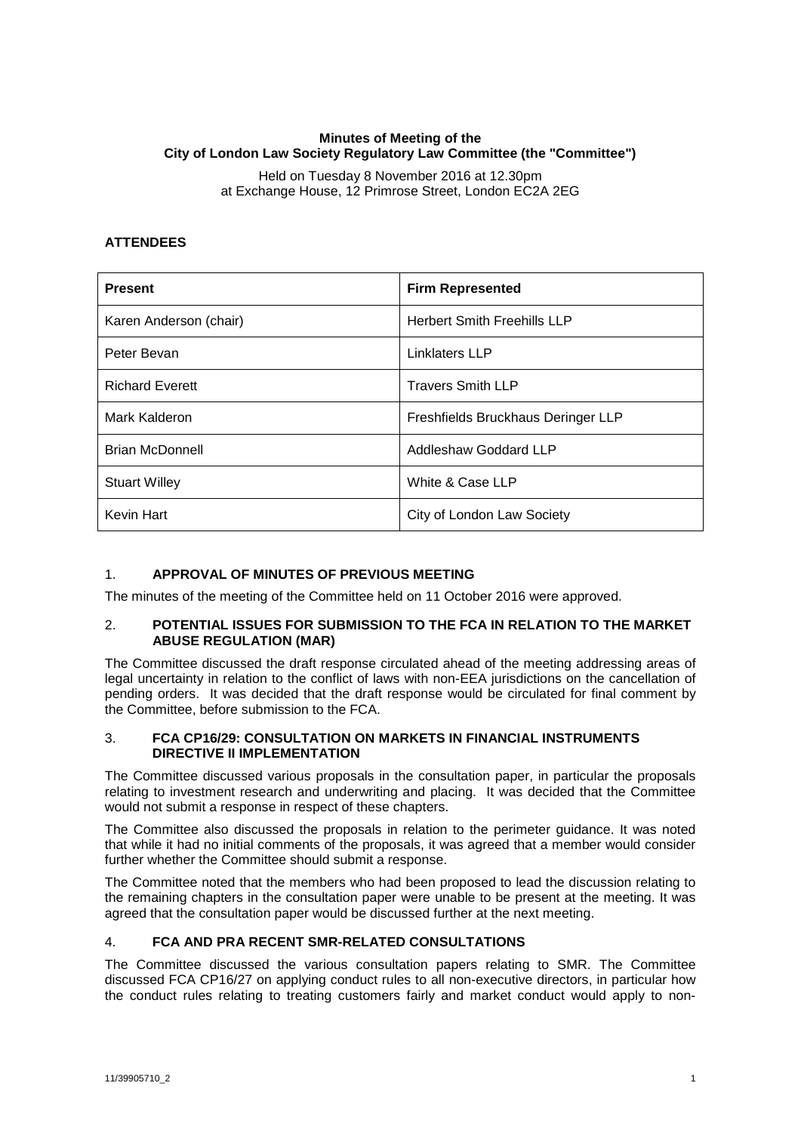# **Minutes of Meeting of the City of London Law Society Regulatory Law Committee (the "Committee")**

Held on Tuesday 8 November 2016 at 12.30pm at Exchange House, 12 Primrose Street, London EC2A 2EG

# **ATTENDEES**

| <b>Present</b>         | <b>Firm Represented</b>            |
|------------------------|------------------------------------|
| Karen Anderson (chair) | <b>Herbert Smith Freehills LLP</b> |
| Peter Bevan            | Linklaters LLP                     |
| <b>Richard Everett</b> | <b>Travers Smith LLP</b>           |
| Mark Kalderon          | Freshfields Bruckhaus Deringer LLP |
| <b>Brian McDonnell</b> | Addleshaw Goddard LLP              |
| <b>Stuart Willey</b>   | White & Case LLP                   |
| Kevin Hart             | City of London Law Society         |

## 1. **APPROVAL OF MINUTES OF PREVIOUS MEETING**

The minutes of the meeting of the Committee held on 11 October 2016 were approved.

## 2. **POTENTIAL ISSUES FOR SUBMISSION TO THE FCA IN RELATION TO THE MARKET ABUSE REGULATION (MAR)**

The Committee discussed the draft response circulated ahead of the meeting addressing areas of legal uncertainty in relation to the conflict of laws with non-EEA jurisdictions on the cancellation of pending orders. It was decided that the draft response would be circulated for final comment by the Committee, before submission to the FCA.

### 3. **FCA CP16/29: CONSULTATION ON MARKETS IN FINANCIAL INSTRUMENTS DIRECTIVE II IMPLEMENTATION**

The Committee discussed various proposals in the consultation paper, in particular the proposals relating to investment research and underwriting and placing. It was decided that the Committee would not submit a response in respect of these chapters.

The Committee also discussed the proposals in relation to the perimeter guidance. It was noted that while it had no initial comments of the proposals, it was agreed that a member would consider further whether the Committee should submit a response.

The Committee noted that the members who had been proposed to lead the discussion relating to the remaining chapters in the consultation paper were unable to be present at the meeting. It was agreed that the consultation paper would be discussed further at the next meeting.

## 4. **FCA AND PRA RECENT SMR-RELATED CONSULTATIONS**

The Committee discussed the various consultation papers relating to SMR. The Committee discussed FCA CP16/27 on applying conduct rules to all non-executive directors, in particular how the conduct rules relating to treating customers fairly and market conduct would apply to non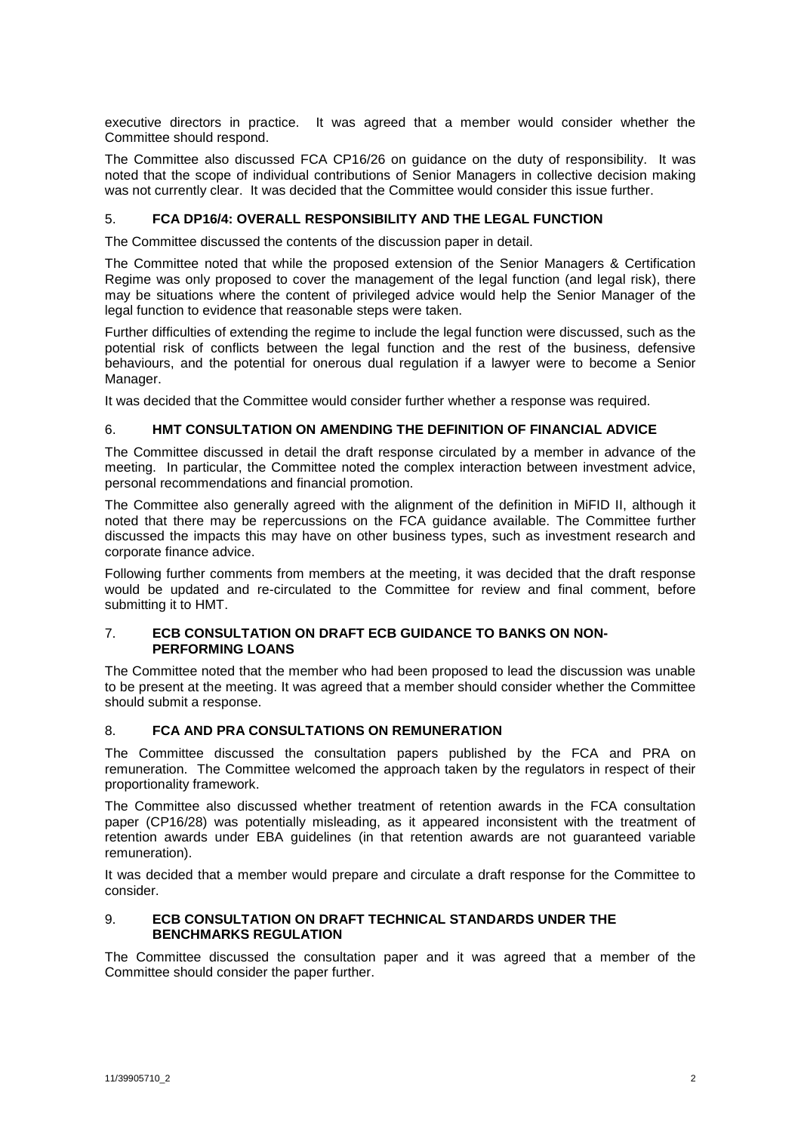executive directors in practice. It was agreed that a member would consider whether the Committee should respond.

The Committee also discussed FCA CP16/26 on guidance on the duty of responsibility. It was noted that the scope of individual contributions of Senior Managers in collective decision making was not currently clear. It was decided that the Committee would consider this issue further.

## 5. **FCA DP16/4: OVERALL RESPONSIBILITY AND THE LEGAL FUNCTION**

The Committee discussed the contents of the discussion paper in detail.

The Committee noted that while the proposed extension of the Senior Managers & Certification Regime was only proposed to cover the management of the legal function (and legal risk), there may be situations where the content of privileged advice would help the Senior Manager of the legal function to evidence that reasonable steps were taken.

Further difficulties of extending the regime to include the legal function were discussed, such as the potential risk of conflicts between the legal function and the rest of the business, defensive behaviours, and the potential for onerous dual regulation if a lawyer were to become a Senior Manager.

It was decided that the Committee would consider further whether a response was required.

#### 6. **HMT CONSULTATION ON AMENDING THE DEFINITION OF FINANCIAL ADVICE**

The Committee discussed in detail the draft response circulated by a member in advance of the meeting. In particular, the Committee noted the complex interaction between investment advice, personal recommendations and financial promotion.

The Committee also generally agreed with the alignment of the definition in MiFID II, although it noted that there may be repercussions on the FCA guidance available. The Committee further discussed the impacts this may have on other business types, such as investment research and corporate finance advice.

Following further comments from members at the meeting, it was decided that the draft response would be updated and re-circulated to the Committee for review and final comment, before submitting it to HMT.

#### 7. **ECB CONSULTATION ON DRAFT ECB GUIDANCE TO BANKS ON NON-PERFORMING LOANS**

The Committee noted that the member who had been proposed to lead the discussion was unable to be present at the meeting. It was agreed that a member should consider whether the Committee should submit a response.

#### 8. **FCA AND PRA CONSULTATIONS ON REMUNERATION**

The Committee discussed the consultation papers published by the FCA and PRA on remuneration. The Committee welcomed the approach taken by the regulators in respect of their proportionality framework.

The Committee also discussed whether treatment of retention awards in the FCA consultation paper (CP16/28) was potentially misleading, as it appeared inconsistent with the treatment of retention awards under EBA guidelines (in that retention awards are not guaranteed variable remuneration).

It was decided that a member would prepare and circulate a draft response for the Committee to consider.

### 9. **ECB CONSULTATION ON DRAFT TECHNICAL STANDARDS UNDER THE BENCHMARKS REGULATION**

The Committee discussed the consultation paper and it was agreed that a member of the Committee should consider the paper further.